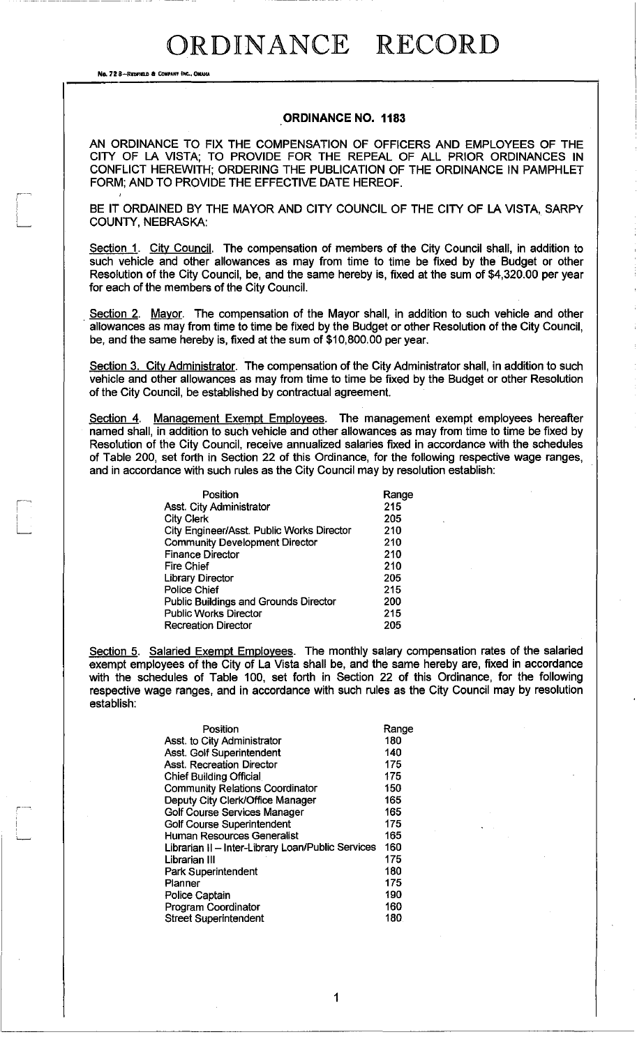**No. 72 8-REDFIELD & COMPANY INC., OMAIL** 

I  $\overline{\phantom{a}}$ 

#### ORDINANCE NO. 1183

AN ORDINANCE TO FIX THE COMPENSATION OF OFFICERS AND EMPLOYEES OF THE CITY OF LA VISTA; TO PROVIDE FOR THE REPEAL OF ALL PRIOR ORDINANCES IN CONFLICT HEREWITH; ORDERING THE PUBLICATION OF THE ORDINANCE IN PAMPHLET FORM; AND TO PROVIDE THE EFFECTIVE DATE HEREOF.

BE IT ORDAINED BY THE MAYOR AND CITY COUNCIL OF THE CITY OF LA VISTA, SARPY COUNTY, NEBRASKA:

Section 1. City Council. The compensation of members of the City Council shall, in addition to such vehicle and other allowances as may from time to time be fixed by the Budget or other Resolution of the City Council, be, and the same hereby is, fixed at the sum of \$4,320.00 per year for each of the members of the City Council.

Section 2. Mayor. The compensation of the Mayor shall, in addition to such vehicle and other allowances as may from time to time be fixed by the Budget or other Resolution of the City Council, be, and the same hereby is, fixed at the sum of \$10,800.00 per year.

Section 3. City Administrator. The compensation of the City Administrator shall, in addition to such vehicle and other allowances as may from time to time be fixed by the Budget or other Resolution of the City Council, be established by contractual agreement.

Section 4. Management Exempt Employees. The management exempt employees hereafter named shall, in addition to such vehicle and other allowances as may from time to time be fixed by Resolution of the City Council, receive annualized salaries fixed in accordance with the schedules of Table 200, set forth in Section 22 of this Ordinance, for the following respective wage ranges, and in accordance with such rules as the City Council may by resolution establish:

| Asst. City Administrator                     | 215 |
|----------------------------------------------|-----|
| <b>City Clerk</b>                            | 205 |
| City Engineer/Asst. Public Works Director    | 210 |
| <b>Community Development Director</b>        | 210 |
| <b>Finance Director</b>                      | 210 |
| <b>Fire Chief</b>                            | 210 |
| <b>Library Director</b>                      | 205 |
| Police Chief                                 | 215 |
| <b>Public Buildings and Grounds Director</b> | 200 |
| <b>Public Works Director</b>                 | 215 |
| <b>Recreation Director</b>                   | 205 |

Section 5. Salaried Exempt Employees. The monthly salary compensation rates of the salaried exempt employees of the City of La Vista shall be, and the same hereby are, fixed in accordance with the schedules of Table 100, set forth in Section 22 of this Ordinance, for the following respective wage ranges, and in accordance with such rules as the City Council may by resolution establish:

| Position                                          | Range |
|---------------------------------------------------|-------|
| Asst. to City Administrator                       | 180   |
| Asst. Golf Superintendent                         | 140   |
| Asst. Recreation Director                         | 175   |
| <b>Chief Building Official</b>                    | 175   |
| <b>Community Relations Coordinator</b>            | 150   |
| Deputy City Clerk/Office Manager                  | 165   |
| Golf Course Services Manager                      | 165   |
| <b>Golf Course Superintendent</b>                 | 175   |
| Human Resources Generalist                        | 165   |
| Librarian II - Inter-Library Loan/Public Services | 160   |
| Librarian III                                     | 175   |
| Park Superintendent                               | 180   |
| Planner                                           | 175   |
| Police Captain                                    | 190   |
| <b>Program Coordinator</b>                        | 160   |
| <b>Street Superintendent</b>                      | 180   |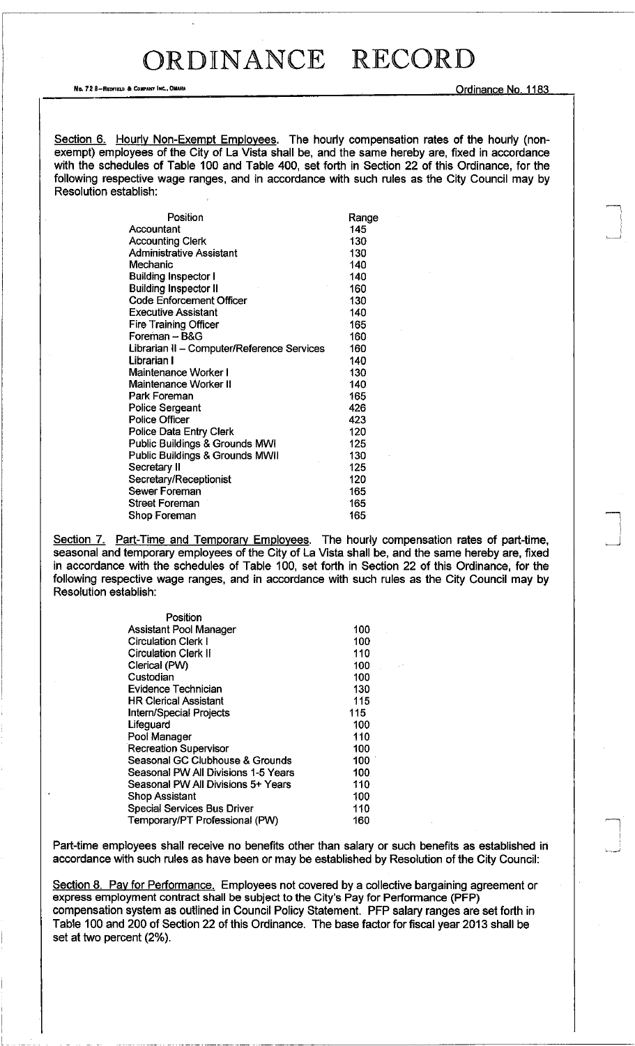**No. 72 8-REDfTELD a COIII'AHY INC.. OIlAHA** Ordinance No. 1183

"'\ I

 $\bigcap$ 

Section 6. Hourly Non-Exempt Employees. The hourly compensation rates of the hourly (nonexempt) employees of the City of La Vista shall be, and the same hereby are, fixed in accordance with the schedules of Table 100 and Table 400, set forth in Section 22 of this Ordinance, for the following respective wage ranges, and in accordance with such rules as the City Council may by Resolution establish:

| Position                                   | Range |
|--------------------------------------------|-------|
| Accountant                                 | 145   |
| <b>Accounting Clerk</b>                    | 130   |
| Administrative Assistant                   | 130   |
| Mechanic                                   | 140   |
| <b>Building Inspector I</b>                | 140   |
| <b>Building Inspector II</b>               | 160   |
| <b>Code Enforcement Officer</b>            | 130   |
| <b>Executive Assistant</b>                 | 140   |
| <b>Fire Training Officer</b>               | 165   |
| Foreman – B&G                              | 160   |
| Librarian II - Computer/Reference Services | 160   |
| Librarian I                                | 140   |
| Maintenance Worker I                       | 130   |
| Maintenance Worker II                      | 140   |
| Park Foreman                               | 165   |
| Police Sergeant                            | 426   |
| <b>Police Officer</b>                      | 423   |
| Police Data Entry Clerk                    | 120   |
| Public Buildings & Grounds MWI             | 125   |
| Public Buildings & Grounds MWII            | 130   |
| Secretary II                               | 125   |
| Secretary/Receptionist                     | 120   |
| <b>Sewer Foreman</b>                       | 165   |
| <b>Street Foreman</b>                      | 165   |
| Shop Foreman                               | 165   |

Section 7. Part-Time and Temporary Employees. The hourly compensation rates of part-time, seasonal and temporary employees of the City of La Vista shall be, and the same hereby are, fixed in accordance with the schedules of Table 100, set forth in Section 22 of this Ordinance, for the following respective wage ranges, and in accordance with such rules as the City Council may by Resolution establish:

| Position                            |     |
|-------------------------------------|-----|
| Assistant Pool Manager              | 100 |
| <b>Circulation Clerk I</b>          | 100 |
| <b>Circulation Clerk II</b>         | 110 |
| Clerical (PW)                       | 100 |
| Custodian                           | 100 |
| <b>Evidence Technician</b>          | 130 |
| <b>HR Clerical Assistant</b>        | 115 |
| <b>Intern/Special Projects</b>      | 115 |
| Lifeguard                           | 100 |
| Pool Manager                        | 110 |
| <b>Recreation Supervisor</b>        | 100 |
| Seasonal GC Clubhouse & Grounds     | 100 |
| Seasonal PW All Divisions 1-5 Years | 100 |
| Seasonal PW All Divisions 5+ Years  | 110 |
| <b>Shop Assistant</b>               | 100 |
| <b>Special Services Bus Driver</b>  | 110 |
| Temporary/PT Professional (PW)      | 160 |

Part-time employees shall receive no benefits other than salary or such benefits as established in accordance with such rules as have been or may be established by Resolution of the City Council:

Section 8. Pay for Performance. Employees not covered by a collective bargaining agreement or express employment contract shall be subject to the City's Pay for Performance (PFP) compensation system as outlined in Council Policy Statement. PFP salary ranges are set forth in Table 100 and 200 of Section 22 of this Ordinance. The base factor for fiscal year 2013 shall be set at two percent (2%).

.\_ .. \_"\_ ..... ,,.\_ .. \_-" --------------------------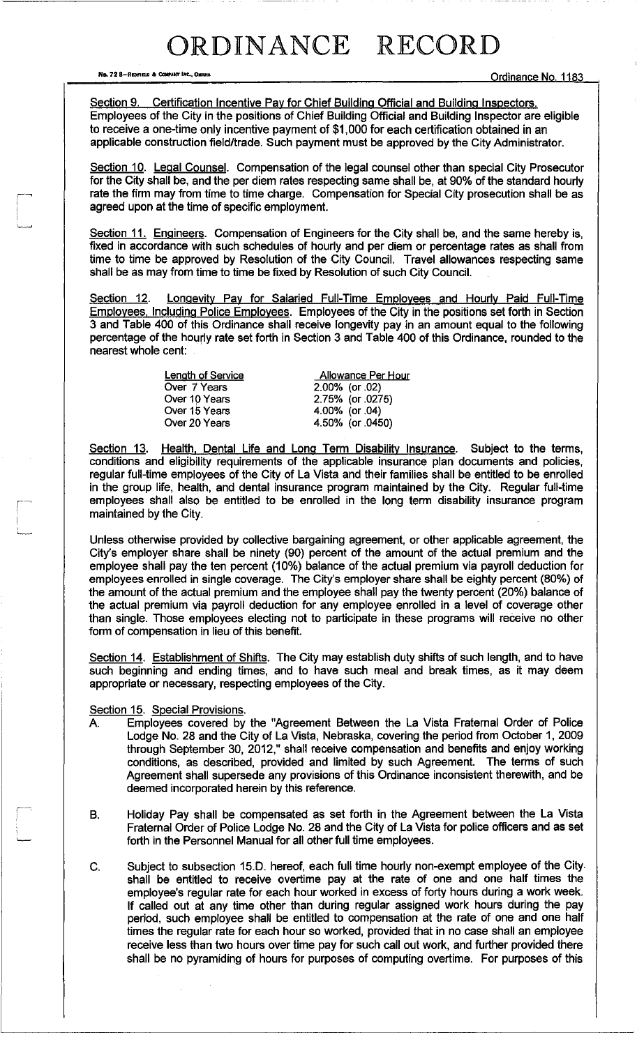**No. 72 8-REDFIELD & COMPARY INC., OMAHA**<br> **No. 72 8-REDFIELD & COMPARY INC., OMAHA** 

Section 9. Certification Incentive Pay for Chief Building Official and Building Inspectors. Employees of the City in the positions of Chief Building Official and Building Inspector are eligible to receive a one-time only incentive payment of \$1,000 for each certification obtained in an applicable construction field/trade. Such payment must be approved by the City Administrator.

Section 10. Legal Counsel. Compensation of the legal counsel other than special City Prosecutor for the City shall be, and the per diem rates respecting same shall be, at 90% of the standard hourly rate the firm may from time to time charge. Compensation for Special City prosecution shall be as agreed upon at the time of specific employment.

Section 11. Engineers. Compensation of Engineers for the City shall be, and the same hereby is, fixed in accordance with such schedules of hourly and per diem or percentage rates as shall from time to time be approved by Resolution of the City Council. Travel allowances respecting same shall be as may from time to time be fixed by Resolution of such City Council.

Section 12. Longevity Pay for Salaried Full-Time Employees and Hourly Paid Full-Time Employees. Including Police Employees. Employees of the City in the positions set forth in Section 3 and Table 400 of this Ordinance shall receive longevity pay in an amount equal to the following percentage of the hourly rate set forth in Section 3 and Table 400 of this Ordinance, rounded to the nearest whole cent:

> Length of Service Over 7 Years Over 19 Years Over 15 Years Over 20 Years

Allowance Per Hour  $2.00\%$  (or .02) 2.75% (or .0275) 4.00% (or .04) 4.50% (or .0450)

Section 13. Health, Dental Life and Long Term Disability Insurance. Subject to the terms, conditions and eligibility requirements of the applicable insurance plan documents and policies, regular full-time employees of the City of La Vista and their families shall be entitled to be enrolled in the group life, health, and dental insurance program maintained by the City. Regular full-time employees shall also be entitled to be enrolled in the long term disability insurance program maintained by the City.

Unless otherwise provided by collective bargaining agreement, or other applicable agreement, the City's employer share shall be ninety (90) percent of the amount of the actual premium and the employee shall pay the ten percent (10%) balance of the actual premium via payroll deduction for employees enrolled in single coverage. The City's employer share shall be eighty percent (80%) of the amount of the actual premium and the employee shall pay the twenty percent (20%) balance of the actual premium via payroll deduction for any employee enrolled in a level of coverage other than single. Those employees electing not to participate in these programs will receive no other form of compensation in lieu of this benefit.

Section 14. Establishment of Shifts. The City may establish duty shifts of such length, and to have such beginning and ending times, and to have such meal and break times, as it may deem appropriate or necessary, respecting employees of the City.

#### Section 15. Special Provisions.

- A. Employees covered by the "Agreement Between the La Vista Fraternal Order of Police Lodge No. 28 and the City of La Vista, Nebraska, covering the period from October 1, 2009 through September 30, 2012," shall receive compensation and benefits and enjoy working conditions, as described, provided and limited by such Agreement. The terms of such Agreement shall supersede any provisions of this Ordinance inconsistent therewith, and be deemed incorporated herein by this reference.
- B. Holiday Pay shall be compensated as set forth in the Agreement between the La Vista Fraternal Order of Police Lodge No. 28 and the City of La Vista for police officers and as set forth in the Personnel Manual for all other full time employees.
- C. Subject to subsection 15.0. hereof, each full time hourly non-exempt employee of the City shall be entitled to receive overtime pay at the rate of one and one half times the employee's regular rate for each hour worked in excess of forty hours during a work week. If called out at any time other than during regular assigned work hours during the pay period, such employee shall be entitled to compensation at the rate of one and one half times the regular rate for each hour so worked, provided that in no case shall an employee receive less than two hours over time pay for such call out work, and further provided there shall be no pyramiding of hours for purposes of computing overtime. For purposes of this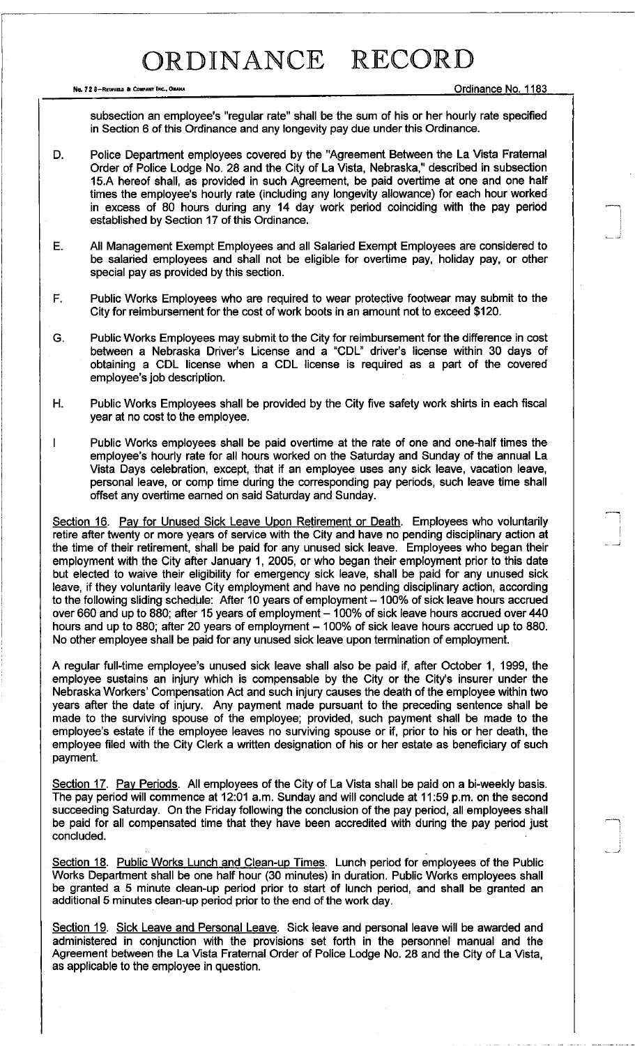**No. 72 8-RfDFIELD a CoIIPAHY (ltC., OIlAHA** Ordinance No. 1183

'---\_ -.J

..--,

subsection an employee's "regular rate" shall be the sum of his or her hourly rate specified in Section 6 of this Ordinance and any longevity pay due under this Ordinance.

- D. Police Department employees covered by the "Agreement Between the La Vista Fraternal Order of Police Lodge No. 28 and the City of La Vista, Nebraska," described in subsection 15.A hereof shall, as provided in such Agreement, be paid overtime at one and one half times the employee's hourly rate (including any longevity allowance) for each hour worked in excess of 80 hours during any 14 day work period coinciding with the pay period established by Section 17 of this Ordinance.
- E. All Management Exempt Employees and all Salaried Exempt Employees are considered to be salaried employees and shall not be eligible for overtime pay, holiday pay, or other special pay as provided by this section.
- F. Public Works Employees who are required to wear protective footwear may submit to the City for reimbursement for the cost of work boots in an amount not to exceed \$120.
- G. Public Works Employees may submit to the City for reimbursement for the difference in cost between a Nebraska Driver's License and a "CDL" driver's license within 30 days of obtaining a CDL license when a CDL license is required as a part of the covered employee's job description.
- H. Public Works Employees shall be provided by the City five safety work shirts in each fiscal year at no cost to the employee.
- Public Works employees shall be paid overtime at the rate of one and one-half times the  $\mathsf{I}$ employee's hourly rate for all hours worked on the Saturday and Sunday of the annual La Vista Days celebration, except, that if an employee uses any sick leave, vacation leave, personal leave, or comp time during the corresponding pay periods, such leave time shall offset any overtime earned on said Saturday and Sunday.

Section 16. Pay for Unused Sick Leave Upon Retirement or Death. Employees who voluntarily retire after twenty or more years of service with the City and have no pending disciplinary action at the time of their retirement, shall be paid for any unused sick leave. Employees who began their employment with the City after January 1, 2005, or who began their employment prior to this date but elected to waive their eligibility for emergency sick leave, shall be paid for any unused sick leave, if they voluntarily leave City employment and have no pending disciplinary action, according to the following sliding schedule: After 10 years of employment - 100% of sick leave hours accrued over 660 and up to 880; after 15 years of employment - 100% of sick leave hours accrued over 440 hours and up to 880; after 20 years of employment - 100% of sick leave hours accrued up to 880. No other employee shall be paid for any unused sick leave upon termination of employment.

A regular full-time employee's unused sick leave shall also be paid if, after October 1, 1999, the employee sustains an injury which is compensable by the City or the City's insurer under the Nebraska Workers' Compensation Act and such injury causes the death of the employee within two years after the date of injury. Any payment made pursuant to the preceding sentence shall be made to the surviving spouse of the employee; provided, such payment shall be made to the employee's estate if the employee leaves no surviving spouse or if, prior to his or her death, the employee filed with the City Clerk a written designation of his or her estate as beneficiary of such payment.

Section 17. Pay Periods. All employees of the City of La Vista shall be paid on a bi-weekly basis. The pay period will commence at 12:01 a.m. Sunday and will conclude at 11 :59 p.m. on the second succeeding Saturday. On the Friday following the conclusion of the pay period, all employees shall be paid for all compensated time that they have been accredited with during the pay period just concluded.

Section 18. Public Works Lunch and Clean-up Times. Lunch period for employees of the Public Works Department shall be one half hour (30 minutes) in duration. Public Works employees shall be granted a 5 minute clean-up period prior to start of lunch period, and shall be granted an additional 5 minutes clean-up period prior to the end of the work day.

Section 19. Sick Leave and Personal Leave. Sick leave and personal leave will be awarded and administered in conjunction with the provisions set forth in the personnel manual and the Agreement between the La Vista Fraternal Order of Police Lodge No. 28 and the City of La Vista, as applicable to the employee in question.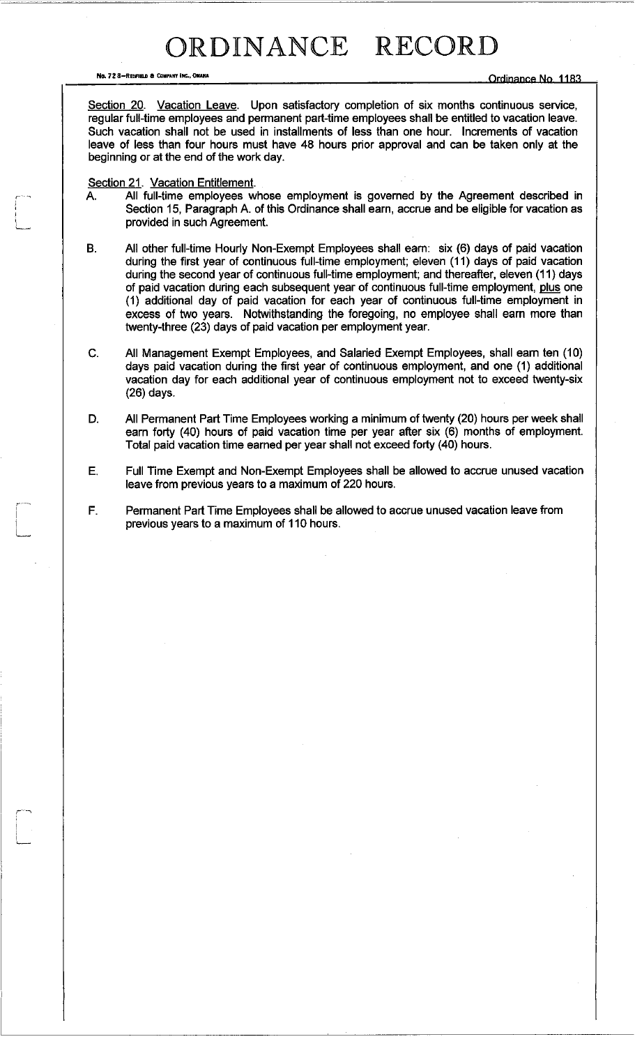**No. 72 8-Redfield & Company inc., Onaha** 

Section 20. Vacation Leave. Upon satisfactory completion of six months continuous service, regular full-time employees and permanent part-time employees shall be entitled to vacation leave. Such vacation shall not be used in installments of less than one hour. Increments of vacation leave of less than four hours must have 48 hours prior approval and can be taken only at the beginning or at the end of the work day.

#### Section 21. Vacation Entitlement.

,'-..,

r-'--~

- A. All full-time employees whose employment is govemed by the Agreement described in Section 15, Paragraph A. of this Ordinance shall earn, accrue and be eligible for vacation as provided in such Agreement.
- B. All other full-time Hourly Non-Exempt Employees shall eam: six (6) days of paid vacation during the first year of continuous full-time employment; eleven (11) days of paid vacation during the second year of continuous full-time employment; and thereafter, eleven (11) days of paid vacation during each subsequent year of continuous full-time employment, plus one (1) additional day of paid vacation for each year of continuous full-time employment in excess of two years. Notwithstanding the foregoing, no employee shall earn more than twenty-three (23) days of paid vacation per employment year.
- c. All Management Exempt Employees, and Salaried Exempt Employees, shall eam ten (10) days paid vacation during the first year of continuous employment, and one (1) additional vacation day for each additional year of continuous employment not to exceed twenty-six (26) days.
- D. All Permanent Part Time Employees working a minimum of twenty (20) hours per week shall earn forty (40) hours of paid vacation time per year after six (6) months of employment. Total paid vacation time earned per year shall not exceed forty (40) hours.
- E. Full Time Exempt and Non-Exempt Employees shall be allowed to accrue unused vacation leave from previous years to a maximum of 220 hours.
- F. Permanent Part Time Employees shall be allowed to accrue unused vacation leave from previous years to a maximum of 110 hours.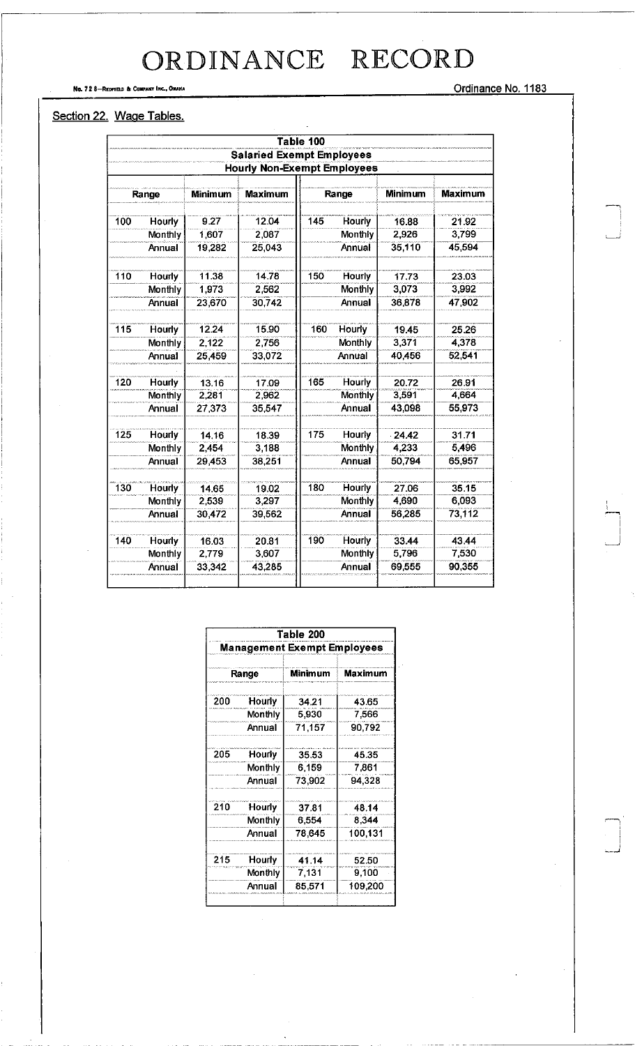Ordinance No. 1183

#### Section 22. Wage Tables.

No. 72 8-REDFIELD & COMPANY INC., OMAHA

|     |                |         |                                    | Table 100 |                |                |         |
|-----|----------------|---------|------------------------------------|-----------|----------------|----------------|---------|
|     |                |         | <b>Salaried Exempt Employees</b>   |           |                |                |         |
|     |                |         | <b>Hourly Non-Exempt Employees</b> |           |                |                |         |
|     |                |         |                                    |           |                |                |         |
|     | Range          | Minimum | <b>Maximum</b>                     | Range     |                | <b>Minimum</b> | Maximum |
| 100 | <b>Hourly</b>  | 9.27    | 12.04                              | 145       | <b>Hourly</b>  | 16.88          | 21.92   |
|     | <b>Monthly</b> | 1,607   | 2,087                              |           | Monthly        | 2,926          | 3,799   |
|     | Annual         | 19,282  | 25,043                             |           | Annual         | 35,110         | 45,594  |
| 110 | Hourly         | 11.38   | 14.78                              | 150       | Hourly         | 17.73          | 23.03   |
|     | Monthly        | 1.973   | 2,562                              |           | Monthly        | 3,073          | 3.992   |
|     | Annual         | 23,670  | 30.742                             |           | Annual         | 36,878         | 47,902  |
| 115 | <b>Hourly</b>  | 12.24   | 15.90                              | 160       | Hourly         | 19.45          | 25.26   |
|     | <b>Monthly</b> | 2.122   | 2,756                              |           | Monthly        | 3,371          | 4,378   |
|     | Annual         | 25,459  | 33,072                             |           | Annual         | 40,456         | 52.541  |
| 120 | Hourly         | 13.16   | 17.09                              | 165       | <b>Hourly</b>  | 20.72          | 26.91   |
|     | <b>Monthly</b> | 2,281   | 2,962                              |           | <b>Monthly</b> | 3,591          | 4,664   |
|     | Annual         | 27,373  | 35,547                             |           | Annual         | 43,098         | 55,973  |
| 125 | <b>Hourly</b>  | 14.16   | 18.39                              | 175       | <b>Hourly</b>  | 24.42          | 31.71   |
|     | Monthly        | 2.454   | 3,188                              |           | Monthly        | 4,233          | 5,496   |
|     | Annual         | 29,453  | 38,251                             |           | Annual         | 50,794         | 65,957  |
| 130 | Hourly         | 14.65   | 19.02                              | 180       | Hourly         | 27.06          | 35.15   |
|     | Monthly        | 2,539   | 3,297                              |           | <b>Monthly</b> | 4,690          | 6,093   |
|     | Annual         | 30,472  | 39,562                             |           | Annual         | 56,285         | 73,112  |
| 140 | Hourly         | 16.03   | 20.81                              | 190       | <b>Hourly</b>  | 33.44          | 43.44   |
|     | <b>Monthly</b> | 2,779   | 3,607                              |           | Monthly        | 5,796          | 7530    |
|     | Annual         | 33,342  | 43,285                             |           | Annual         | 69,555         | 90,355  |

| Table 200                          |                         |        |         |  |  |  |
|------------------------------------|-------------------------|--------|---------|--|--|--|
| <b>Management Exempt Employees</b> |                         |        |         |  |  |  |
|                                    | <b>Minimum</b><br>Range |        | Maximum |  |  |  |
| 200                                | Hourly                  | 34.21  | 43.65   |  |  |  |
|                                    | Monthly                 | 5,930  | 7,566   |  |  |  |
|                                    | Annual                  | 71.157 | 90,792  |  |  |  |
| 205                                | Hourly                  | 35.53  | 45.35   |  |  |  |
|                                    | Monthly                 | 6,159  | 7.861   |  |  |  |
|                                    | Annual                  | 73.902 | 94.328  |  |  |  |
| 210                                | Hourly                  | 37.81  | 48.14   |  |  |  |
|                                    | Monthly                 | 6,554  | 8.344   |  |  |  |
|                                    | Annual                  | 78.645 | 100,131 |  |  |  |
| 215                                | Hourly                  | 41.14  | 52.50   |  |  |  |
|                                    | Monthly                 | 7,131  | 9,100   |  |  |  |
|                                    | Annual                  | 85 571 | 109,200 |  |  |  |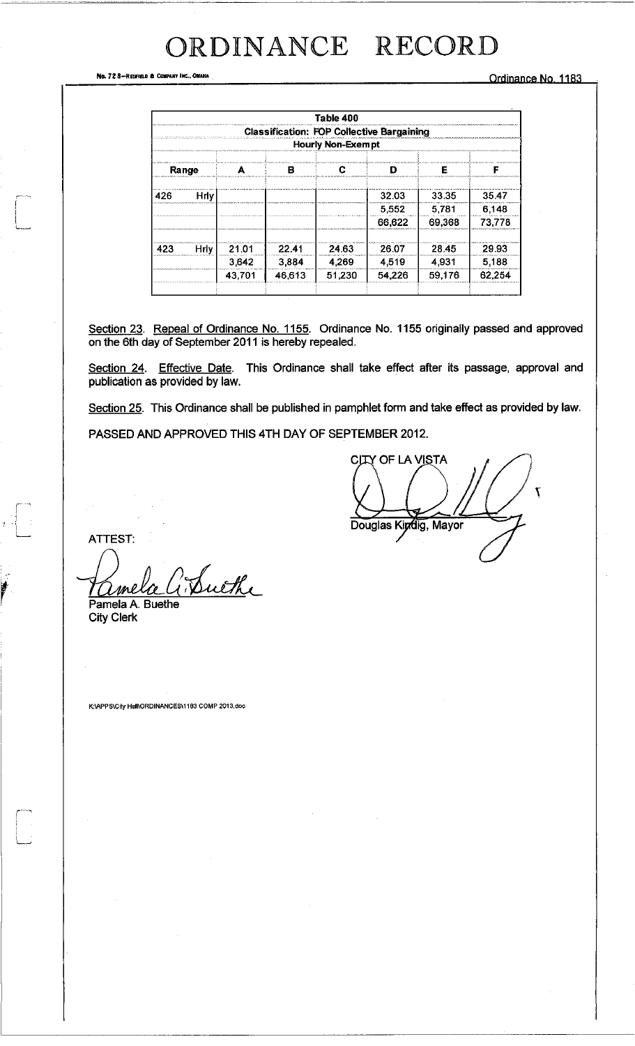No. 728-REDFIELD & COMPANY INC., OMAHA

Ordinance No. 1183

|       |        | В      | <b>Classification: FOP Collective Bargaining</b><br><b>Hourly Non-Exempt</b> |        | F       |        |
|-------|--------|--------|------------------------------------------------------------------------------|--------|---------|--------|
|       |        |        |                                                                              |        |         |        |
|       |        |        |                                                                              |        |         |        |
|       |        |        |                                                                              |        |         |        |
| Hrlv. |        |        |                                                                              | 32.03  | 33.35   | 3547   |
|       |        |        |                                                                              | 5,552  | 5,781   | 6.148  |
|       |        |        |                                                                              | 66,622 | 69,368  | 73,778 |
|       | 21.01  | 22.41  | 24.63                                                                        | 26.07  | 28.45   | 29.93  |
|       | 3,642  | 3,884  | 4.269                                                                        | 4,519  | 4 9 3 1 | 5,188  |
|       | 43,701 | 46,613 | 51,230                                                                       | 54.226 | 59,176  | 62,254 |
|       | Hrly.  |        |                                                                              |        |         |        |

Section 23. Repeal of Ordinance No. 1155. Ordinance No. 1155 originally passed and approved on the 6th day of September 2011 is hereby repealed.

Section 24. Effective Date. This Ordinance shall take effect after its passage, approval and publication as provided by law.

Section 25. This Ordinance shall be published in pamphlet form and take effect as provided by law.

PASSED AND APPROVED THIS 4TH DAY OF SEPTEMBER 2012.

**CITY OF LA VISTA** Douglas Kipdig, Mayor

**ATTEST:** 

 $\frac{1}{2}$ 

Swith Pamela A. Buethe

**City Clerk** 

K:\APPS\City Hall\ORDINANCES\1183 COMP 2013.doc